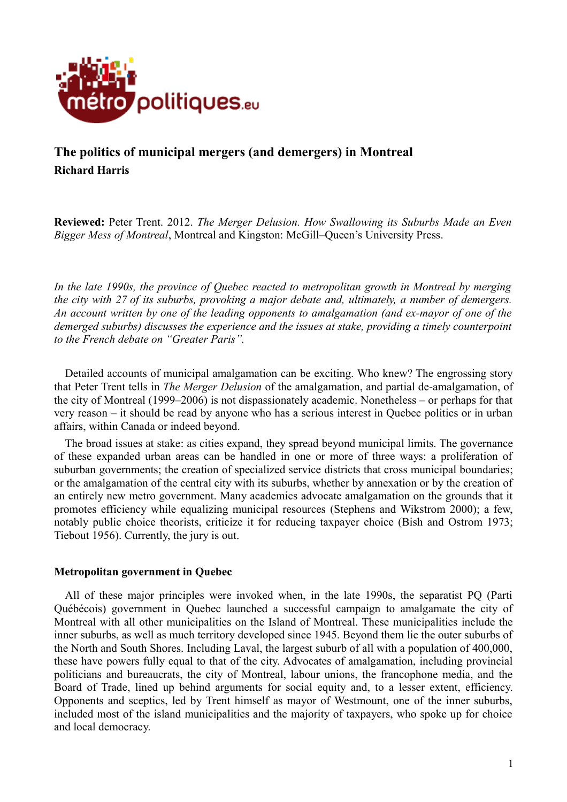

# **The politics of municipal mergers (and demergers) in Montreal Richard Harris**

**Reviewed:** Peter Trent. 2012. *The Merger Delusion. How Swallowing its Suburbs Made an Even Bigger Mess of Montreal*, Montreal and Kingston: McGill–Queen's University Press.

*In the late 1990s, the province of Quebec reacted to metropolitan growth in Montreal by merging the city with 27 of its suburbs, provoking a major debate and, ultimately, a number of demergers. An account written by one of the leading opponents to amalgamation (and ex-mayor of one of the demerged suburbs) discusses the experience and the issues at stake, providing a timely counterpoint to the French debate on "Greater Paris".*

Detailed accounts of municipal amalgamation can be exciting. Who knew? The engrossing story that Peter Trent tells in *The Merger Delusion* of the amalgamation, and partial de-amalgamation, of the city of Montreal (1999–2006) is not dispassionately academic. Nonetheless – or perhaps for that very reason – it should be read by anyone who has a serious interest in Quebec politics or in urban affairs, within Canada or indeed beyond.

The broad issues at stake: as cities expand, they spread beyond municipal limits. The governance of these expanded urban areas can be handled in one or more of three ways: a proliferation of suburban governments; the creation of specialized service districts that cross municipal boundaries; or the amalgamation of the central city with its suburbs, whether by annexation or by the creation of an entirely new metro government. Many academics advocate amalgamation on the grounds that it promotes efficiency while equalizing municipal resources (Stephens and Wikstrom 2000); a few, notably public choice theorists, criticize it for reducing taxpayer choice (Bish and Ostrom 1973; Tiebout 1956). Currently, the jury is out.

### **Metropolitan government in Quebec**

All of these major principles were invoked when, in the late 1990s, the separatist PQ (Parti Québécois) government in Quebec launched a successful campaign to amalgamate the city of Montreal with all other municipalities on the Island of Montreal. These municipalities include the inner suburbs, as well as much territory developed since 1945. Beyond them lie the outer suburbs of the North and South Shores. Including Laval, the largest suburb of all with a population of 400,000, these have powers fully equal to that of the city. Advocates of amalgamation, including provincial politicians and bureaucrats, the city of Montreal, labour unions, the francophone media, and the Board of Trade, lined up behind arguments for social equity and, to a lesser extent, efficiency. Opponents and sceptics, led by Trent himself as mayor of Westmount, one of the inner suburbs, included most of the island municipalities and the majority of taxpayers, who spoke up for choice and local democracy.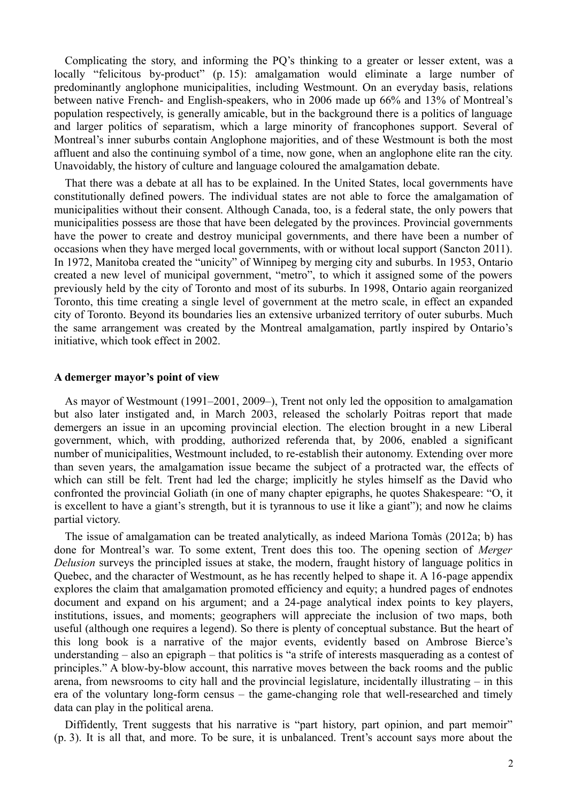Complicating the story, and informing the PQ's thinking to a greater or lesser extent, was a locally "felicitous by-product" (p. 15): amalgamation would eliminate a large number of predominantly anglophone municipalities, including Westmount. On an everyday basis, relations between native French- and English-speakers, who in 2006 made up 66% and 13% of Montreal's population respectively, is generally amicable, but in the background there is a politics of language and larger politics of separatism, which a large minority of francophones support. Several of Montreal's inner suburbs contain Anglophone majorities, and of these Westmount is both the most affluent and also the continuing symbol of a time, now gone, when an anglophone elite ran the city. Unavoidably, the history of culture and language coloured the amalgamation debate.

That there was a debate at all has to be explained. In the United States, local governments have constitutionally defined powers. The individual states are not able to force the amalgamation of municipalities without their consent. Although Canada, too, is a federal state, the only powers that municipalities possess are those that have been delegated by the provinces. Provincial governments have the power to create and destroy municipal governments, and there have been a number of occasions when they have merged local governments, with or without local support (Sancton 2011). In 1972, Manitoba created the "unicity" of Winnipeg by merging city and suburbs. In 1953, Ontario created a new level of municipal government, "metro", to which it assigned some of the powers previously held by the city of Toronto and most of its suburbs. In 1998, Ontario again reorganized Toronto, this time creating a single level of government at the metro scale, in effect an expanded city of Toronto. Beyond its boundaries lies an extensive urbanized territory of outer suburbs. Much the same arrangement was created by the Montreal amalgamation, partly inspired by Ontario's initiative, which took effect in 2002.

#### **A demerger mayor's point of view**

As mayor of Westmount (1991–2001, 2009–), Trent not only led the opposition to amalgamation but also later instigated and, in March 2003, released the scholarly Poitras report that made demergers an issue in an upcoming provincial election. The election brought in a new Liberal government, which, with prodding, authorized referenda that, by 2006, enabled a significant number of municipalities, Westmount included, to re-establish their autonomy. Extending over more than seven years, the amalgamation issue became the subject of a protracted war, the effects of which can still be felt. Trent had led the charge; implicitly he styles himself as the David who confronted the provincial Goliath (in one of many chapter epigraphs, he quotes Shakespeare: "O, it is excellent to have a giant's strength, but it is tyrannous to use it like a giant"); and now he claims partial victory.

The issue of amalgamation can be treated analytically, as indeed Mariona Tomàs (2012a; b) has done for Montreal's war. To some extent, Trent does this too. The opening section of *Merger Delusion* surveys the principled issues at stake, the modern, fraught history of language politics in Quebec, and the character of Westmount, as he has recently helped to shape it. A 16-page appendix explores the claim that amalgamation promoted efficiency and equity; a hundred pages of endnotes document and expand on his argument; and a 24-page analytical index points to key players, institutions, issues, and moments; geographers will appreciate the inclusion of two maps, both useful (although one requires a legend). So there is plenty of conceptual substance. But the heart of this long book is a narrative of the major events, evidently based on Ambrose Bierce's understanding – also an epigraph – that politics is "a strife of interests masquerading as a contest of principles." A blow-by-blow account, this narrative moves between the back rooms and the public arena, from newsrooms to city hall and the provincial legislature, incidentally illustrating – in this era of the voluntary long-form census – the game-changing role that well-researched and timely data can play in the political arena.

Diffidently, Trent suggests that his narrative is "part history, part opinion, and part memoir" (p. 3). It is all that, and more. To be sure, it is unbalanced. Trent's account says more about the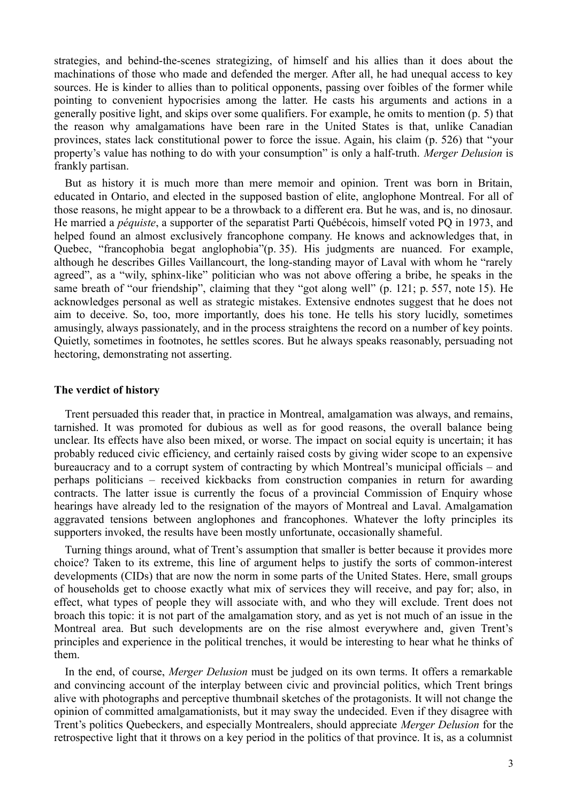strategies, and behind-the-scenes strategizing, of himself and his allies than it does about the machinations of those who made and defended the merger. After all, he had unequal access to key sources. He is kinder to allies than to political opponents, passing over foibles of the former while pointing to convenient hypocrisies among the latter. He casts his arguments and actions in a generally positive light, and skips over some qualifiers. For example, he omits to mention (p. 5) that the reason why amalgamations have been rare in the United States is that, unlike Canadian provinces, states lack constitutional power to force the issue. Again, his claim (p. 526) that "your property's value has nothing to do with your consumption" is only a half-truth. *Merger Delusion* is frankly partisan.

But as history it is much more than mere memoir and opinion. Trent was born in Britain, educated in Ontario, and elected in the supposed bastion of elite, anglophone Montreal. For all of those reasons, he might appear to be a throwback to a different era. But he was, and is, no dinosaur. He married a *péquiste*, a supporter of the separatist Parti Québécois, himself voted PQ in 1973, and helped found an almost exclusively francophone company. He knows and acknowledges that, in Quebec, "francophobia begat anglophobia"(p. 35). His judgments are nuanced. For example, although he describes Gilles Vaillancourt, the long-standing mayor of Laval with whom he "rarely agreed", as a "wily, sphinx-like" politician who was not above offering a bribe, he speaks in the same breath of "our friendship", claiming that they "got along well" (p. 121; p. 557, note 15). He acknowledges personal as well as strategic mistakes. Extensive endnotes suggest that he does not aim to deceive. So, too, more importantly, does his tone. He tells his story lucidly, sometimes amusingly, always passionately, and in the process straightens the record on a number of key points. Quietly, sometimes in footnotes, he settles scores. But he always speaks reasonably, persuading not hectoring, demonstrating not asserting.

### **The verdict of history**

Trent persuaded this reader that, in practice in Montreal, amalgamation was always, and remains, tarnished. It was promoted for dubious as well as for good reasons, the overall balance being unclear. Its effects have also been mixed, or worse. The impact on social equity is uncertain; it has probably reduced civic efficiency, and certainly raised costs by giving wider scope to an expensive bureaucracy and to a corrupt system of contracting by which Montreal's municipal officials – and perhaps politicians – received kickbacks from construction companies in return for awarding contracts. The latter issue is currently the focus of a provincial Commission of Enquiry whose hearings have already led to the resignation of the mayors of Montreal and Laval. Amalgamation aggravated tensions between anglophones and francophones. Whatever the lofty principles its supporters invoked, the results have been mostly unfortunate, occasionally shameful.

Turning things around, what of Trent's assumption that smaller is better because it provides more choice? Taken to its extreme, this line of argument helps to justify the sorts of common-interest developments (CIDs) that are now the norm in some parts of the United States. Here, small groups of households get to choose exactly what mix of services they will receive, and pay for; also, in effect, what types of people they will associate with, and who they will exclude. Trent does not broach this topic: it is not part of the amalgamation story, and as yet is not much of an issue in the Montreal area. But such developments are on the rise almost everywhere and, given Trent's principles and experience in the political trenches, it would be interesting to hear what he thinks of them.

In the end, of course, *Merger Delusion* must be judged on its own terms. It offers a remarkable and convincing account of the interplay between civic and provincial politics, which Trent brings alive with photographs and perceptive thumbnail sketches of the protagonists. It will not change the opinion of committed amalgamationists, but it may sway the undecided. Even if they disagree with Trent's politics Quebeckers, and especially Montrealers, should appreciate *Merger Delusion* for the retrospective light that it throws on a key period in the politics of that province. It is, as a columnist